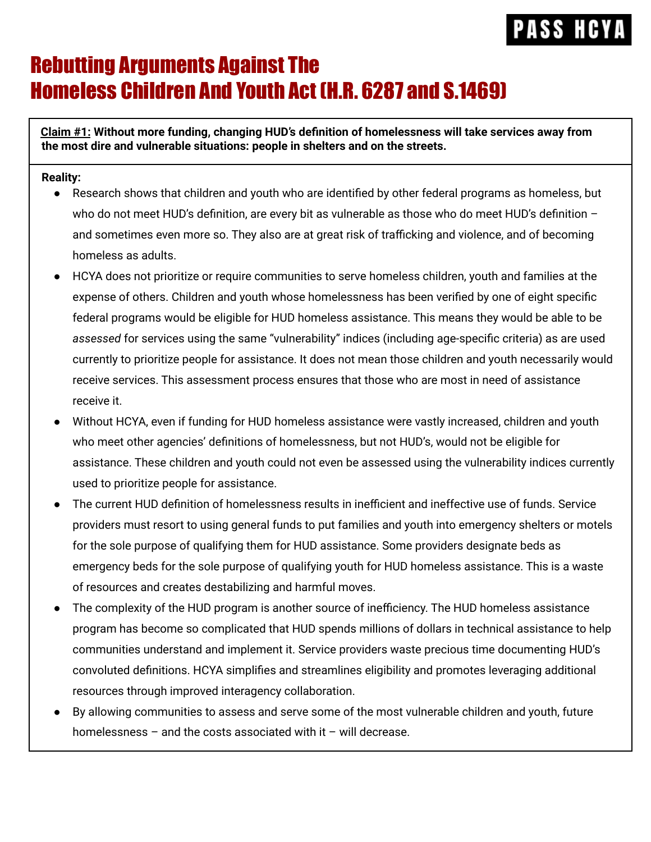### Rebutting Arguments Against The Homeless Children And Youth Act (H.R. 6287 and S.1469)

**Claim #1: Without more funding, changing HUD's definition of homelessness will take services away from the most dire and vulnerable situations: people in shelters and on the streets.**

#### **Reality:**

- Research shows that children and youth who are identified by other federal programs as homeless, but who do not meet HUD's definition, are every bit as vulnerable as those who do meet HUD's definition and sometimes even more so. They also are at great risk of trafficking and violence, and of becoming homeless as adults.
- HCYA does not prioritize or require communities to serve homeless children, youth and families at the expense of others. Children and youth whose homelessness has been verified by one of eight specific federal programs would be eligible for HUD homeless assistance. This means they would be able to be *assessed* for services using the same "vulnerability" indices (including age-specific criteria) as are used currently to prioritize people for assistance. It does not mean those children and youth necessarily would receive services. This assessment process ensures that those who are most in need of assistance receive it.
- Without HCYA, even if funding for HUD homeless assistance were vastly increased, children and youth who meet other agencies' definitions of homelessness, but not HUD's, would not be eligible for assistance. These children and youth could not even be assessed using the vulnerability indices currently used to prioritize people for assistance.
- The current HUD definition of homelessness results in inefficient and ineffective use of funds. Service providers must resort to using general funds to put families and youth into emergency shelters or motels for the sole purpose of qualifying them for HUD assistance. Some providers designate beds as emergency beds for the sole purpose of qualifying youth for HUD homeless assistance. This is a waste of resources and creates destabilizing and harmful moves.
- The complexity of the HUD program is another source of inefficiency. The HUD homeless assistance program has become so complicated that HUD spends millions of dollars in technical assistance to help communities understand and implement it. Service providers waste precious time documenting HUD's convoluted definitions. HCYA simplifies and streamlines eligibility and promotes leveraging additional resources through improved interagency collaboration.
- By allowing communities to assess and serve some of the most vulnerable children and youth, future homelessness – and the costs associated with it – will decrease.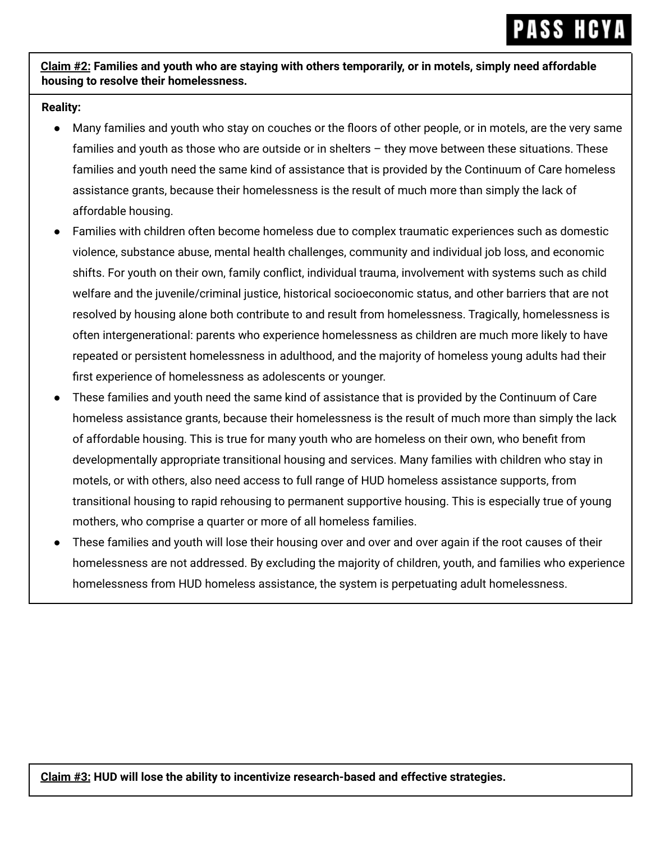Claim #2: Families and youth who are staying with others temporarily, or in motels, simply need affordable **housing to resolve their homelessness.**

#### **Reality:**

- Many families and youth who stay on couches or the floors of other people, or in motels, are the very same families and youth as those who are outside or in shelters – they move between these situations. These families and youth need the same kind of assistance that is provided by the Continuum of Care homeless assistance grants, because their homelessness is the result of much more than simply the lack of affordable housing.
- Families with children often become homeless due to complex traumatic experiences such as domestic violence, substance abuse, mental health challenges, community and individual job loss, and economic shifts. For youth on their own, family conflict, individual trauma, involvement with systems such as child welfare and the juvenile/criminal justice, historical socioeconomic status, and other barriers that are not resolved by housing alone both contribute to and result from homelessness. Tragically, homelessness is often intergenerational: parents who experience homelessness as children are much more likely to have repeated or persistent homelessness in adulthood, and the majority of homeless young adults had their first experience of homelessness as adolescents or younger.
- These families and youth need the same kind of assistance that is provided by the Continuum of Care homeless assistance grants, because their homelessness is the result of much more than simply the lack of affordable housing. This is true for many youth who are homeless on their own, who benefit from developmentally appropriate transitional housing and services. Many families with children who stay in motels, or with others, also need access to full range of HUD homeless assistance supports, from transitional housing to rapid rehousing to permanent supportive housing. This is especially true of young mothers, who comprise a quarter or more of all homeless families.
- These families and youth will lose their housing over and over and over again if the root causes of their homelessness are not addressed. By excluding the majority of children, youth, and families who experience homelessness from HUD homeless assistance, the system is perpetuating adult homelessness.

**Claim #3: HUD will lose the ability to incentivize research-based and effective strategies.**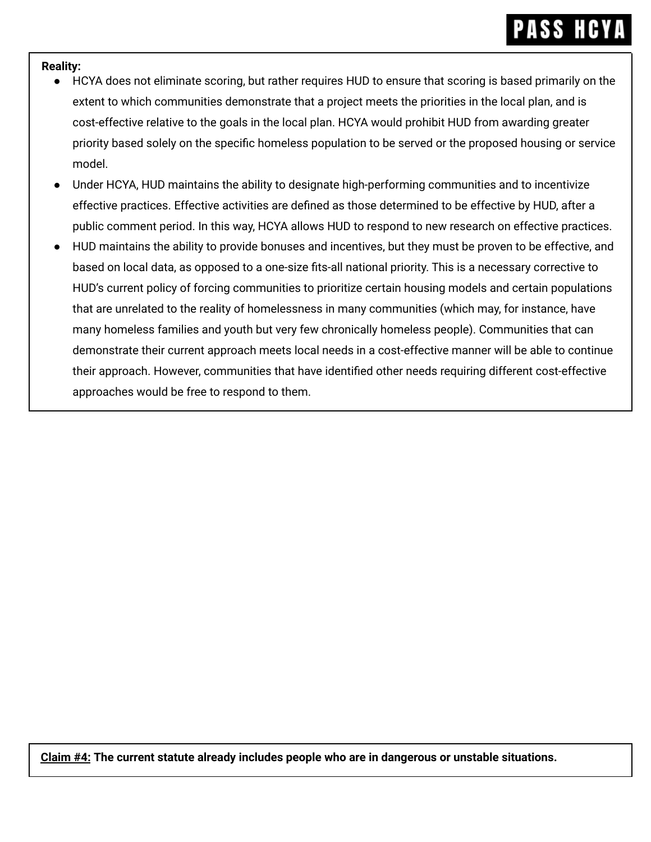#### **Reality:**

- HCYA does not eliminate scoring, but rather requires HUD to ensure that scoring is based primarily on the extent to which communities demonstrate that a project meets the priorities in the local plan, and is cost-effective relative to the goals in the local plan. HCYA would prohibit HUD from awarding greater priority based solely on the specific homeless population to be served or the proposed housing or service model.
- Under HCYA, HUD maintains the ability to designate high-performing communities and to incentivize effective practices. Effective activities are defined as those determined to be effective by HUD, after a public comment period. In this way, HCYA allows HUD to respond to new research on effective practices.
- HUD maintains the ability to provide bonuses and incentives, but they must be proven to be effective, and based on local data, as opposed to a one-size fits-all national priority. This is a necessary corrective to HUD's current policy of forcing communities to prioritize certain housing models and certain populations that are unrelated to the reality of homelessness in many communities (which may, for instance, have many homeless families and youth but very few chronically homeless people). Communities that can demonstrate their current approach meets local needs in a cost-effective manner will be able to continue their approach. However, communities that have identified other needs requiring different cost-effective approaches would be free to respond to them.

**Claim #4: The current statute already includes people who are in dangerous or unstable situations.**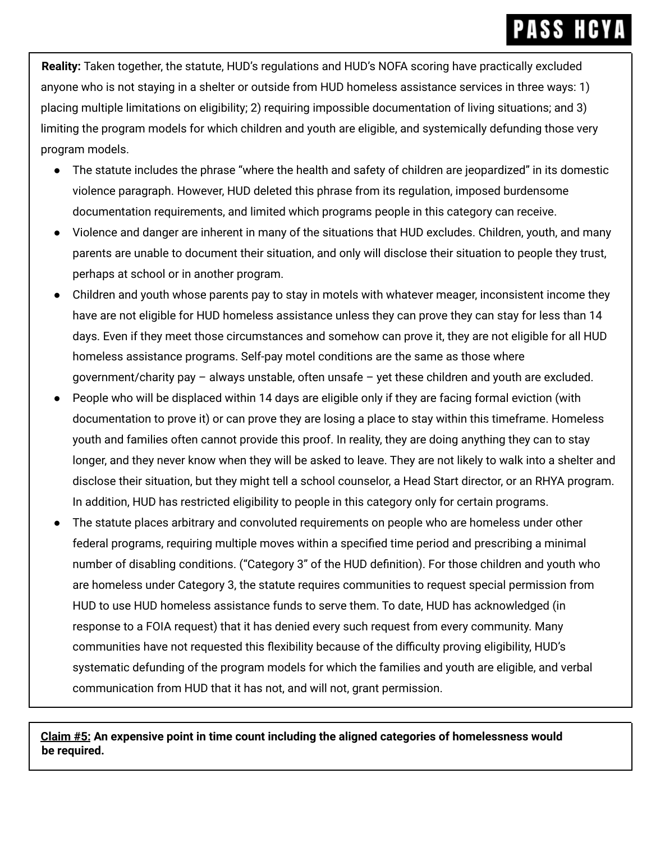**Reality:** Taken together, the statute, HUD's regulations and HUD's NOFA scoring have practically excluded anyone who is not staying in a shelter or outside from HUD homeless assistance services in three ways: 1) placing multiple limitations on eligibility; 2) requiring impossible documentation of living situations; and 3) limiting the program models for which children and youth are eligible, and systemically defunding those very program models.

- The statute includes the phrase "where the health and safety of children are jeopardized" in its domestic violence paragraph. However, HUD deleted this phrase from its regulation, imposed burdensome documentation requirements, and limited which programs people in this category can receive.
- Violence and danger are inherent in many of the situations that HUD excludes. Children, youth, and many parents are unable to document their situation, and only will disclose their situation to people they trust, perhaps at school or in another program.
- Children and youth whose parents pay to stay in motels with whatever meager, inconsistent income they have are not eligible for HUD homeless assistance unless they can prove they can stay for less than 14 days. Even if they meet those circumstances and somehow can prove it, they are not eligible for all HUD homeless assistance programs. Self-pay motel conditions are the same as those where government/charity pay – always unstable, often unsafe – yet these children and youth are excluded.
- People who will be displaced within 14 days are eligible only if they are facing formal eviction (with documentation to prove it) or can prove they are losing a place to stay within this timeframe. Homeless youth and families often cannot provide this proof. In reality, they are doing anything they can to stay longer, and they never know when they will be asked to leave. They are not likely to walk into a shelter and disclose their situation, but they might tell a school counselor, a Head Start director, or an RHYA program. In addition, HUD has restricted eligibility to people in this category only for certain programs.
- The statute places arbitrary and convoluted requirements on people who are homeless under other federal programs, requiring multiple moves within a specified time period and prescribing a minimal number of disabling conditions. ("Category 3" of the HUD definition). For those children and youth who are homeless under Category 3, the statute requires communities to request special permission from HUD to use HUD homeless assistance funds to serve them. To date, HUD has acknowledged (in response to a FOIA request) that it has denied every such request from every community. Many communities have not requested this flexibility because of the difficulty proving eligibility, HUD's systematic defunding of the program models for which the families and youth are eligible, and verbal communication from HUD that it has not, and will not, grant permission.

**Claim #5: An expensive point in time count including the aligned categories of homelessness would be required.**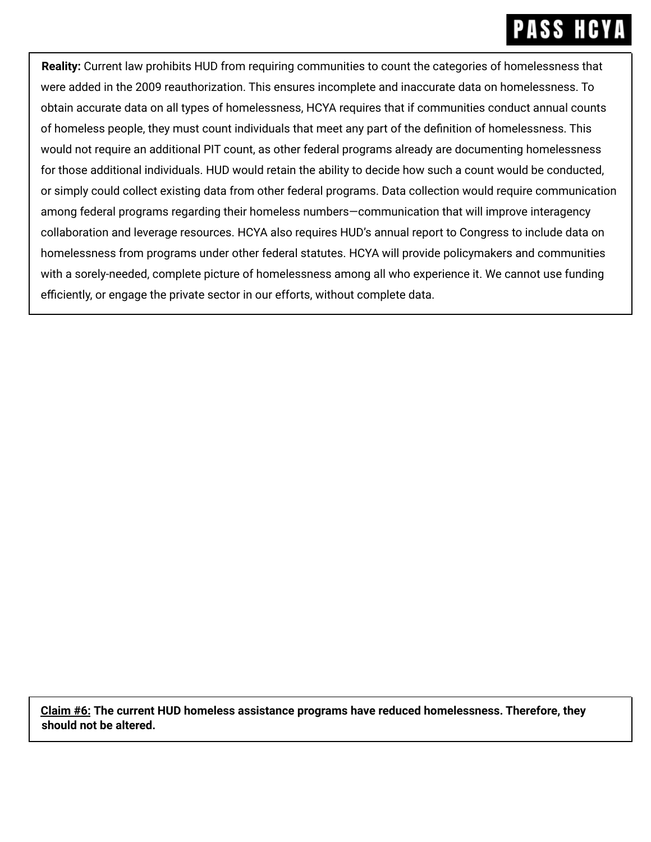**Reality:** Current law prohibits HUD from requiring communities to count the categories of homelessness that were added in the 2009 reauthorization. This ensures incomplete and inaccurate data on homelessness. To obtain accurate data on all types of homelessness, HCYA requires that if communities conduct annual counts of homeless people, they must count individuals that meet any part of the definition of homelessness. This would not require an additional PIT count, as other federal programs already are documenting homelessness for those additional individuals. HUD would retain the ability to decide how such a count would be conducted, or simply could collect existing data from other federal programs. Data collection would require communication among federal programs regarding their homeless numbers—communication that will improve interagency collaboration and leverage resources. HCYA also requires HUD's annual report to Congress to include data on homelessness from programs under other federal statutes. HCYA will provide policymakers and communities with a sorely-needed, complete picture of homelessness among all who experience it. We cannot use funding efficiently, or engage the private sector in our efforts, without complete data.

**Claim #6: The current HUD homeless assistance programs have reduced homelessness. Therefore, they should not be altered.**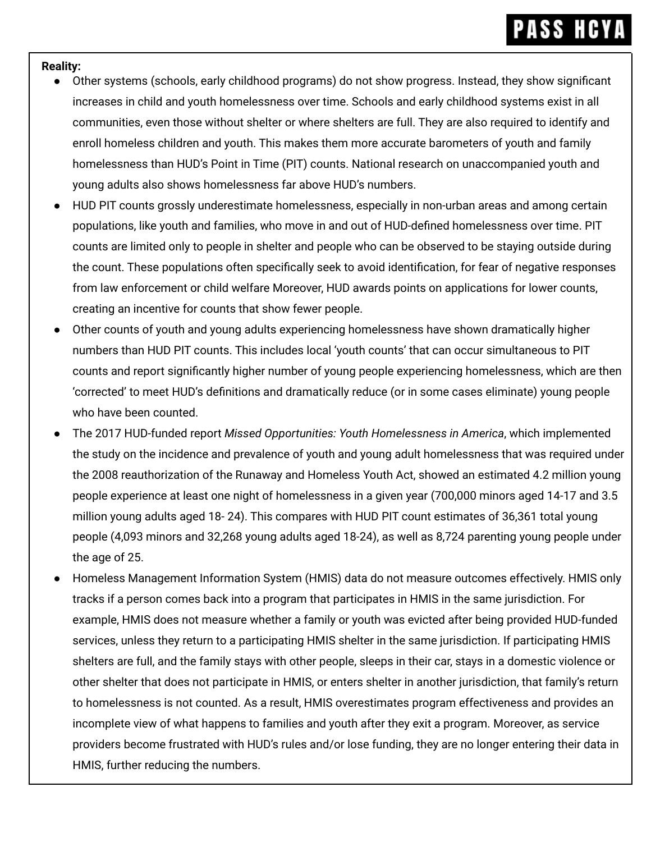#### **Reality:**

- Other systems (schools, early childhood programs) do not show progress. Instead, they show significant increases in child and youth homelessness over time. Schools and early childhood systems exist in all communities, even those without shelter or where shelters are full. They are also required to identify and enroll homeless children and youth. This makes them more accurate barometers of youth and family homelessness than HUD's Point in Time (PIT) counts. National research on unaccompanied youth and young adults also shows homelessness far above HUD's numbers.
- HUD PIT counts grossly underestimate homelessness, especially in non-urban areas and among certain populations, like youth and families, who move in and out of HUD-defined homelessness over time. PIT counts are limited only to people in shelter and people who can be observed to be staying outside during the count. These populations often specifically seek to avoid identification, for fear of negative responses from law enforcement or child welfare Moreover, HUD awards points on applications for lower counts, creating an incentive for counts that show fewer people.
- Other counts of youth and young adults experiencing homelessness have shown dramatically higher numbers than HUD PIT counts. This includes local 'youth counts' that can occur simultaneous to PIT counts and report significantly higher number of young people experiencing homelessness, which are then 'corrected' to meet HUD's definitions and dramatically reduce (or in some cases eliminate) young people who have been counted.
- The 2017 HUD-funded report *Missed Opportunities: Youth Homelessness in America*, which implemented the study on the incidence and prevalence of youth and young adult homelessness that was required under the 2008 reauthorization of the Runaway and Homeless Youth Act, showed an estimated 4.2 million young people experience at least one night of homelessness in a given year (700,000 minors aged 14-17 and 3.5 million young adults aged 18- 24). This compares with HUD PIT count estimates of 36,361 total young people (4,093 minors and 32,268 young adults aged 18-24), as well as 8,724 parenting young people under the age of 25.
- Homeless Management Information System (HMIS) data do not measure outcomes effectively. HMIS only tracks if a person comes back into a program that participates in HMIS in the same jurisdiction. For example, HMIS does not measure whether a family or youth was evicted after being provided HUD-funded services, unless they return to a participating HMIS shelter in the same jurisdiction. If participating HMIS shelters are full, and the family stays with other people, sleeps in their car, stays in a domestic violence or other shelter that does not participate in HMIS, or enters shelter in another jurisdiction, that family's return to homelessness is not counted. As a result, HMIS overestimates program effectiveness and provides an incomplete view of what happens to families and youth after they exit a program. Moreover, as service providers become frustrated with HUD's rules and/or lose funding, they are no longer entering their data in HMIS, further reducing the numbers.